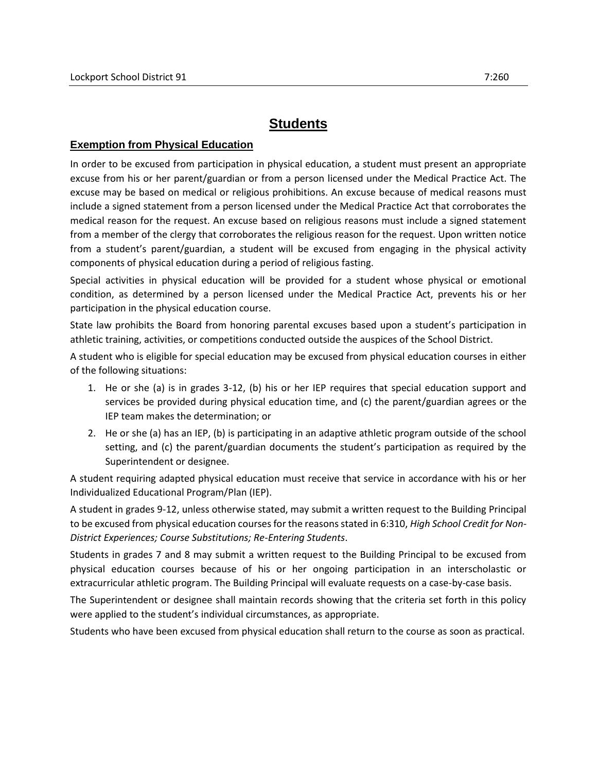## **Students**

## **Exemption from Physical Education**

In order to be excused from participation in physical education, a student must present an appropriate excuse from his or her parent/guardian or from a person licensed under the Medical Practice Act. The excuse may be based on medical or religious prohibitions. An excuse because of medical reasons must include a signed statement from a person licensed under the Medical Practice Act that corroborates the medical reason for the request. An excuse based on religious reasons must include a signed statement from a member of the clergy that corroborates the religious reason for the request. Upon written notice from a student's parent/guardian, a student will be excused from engaging in the physical activity components of physical education during a period of religious fasting.

Special activities in physical education will be provided for a student whose physical or emotional condition, as determined by a person licensed under the Medical Practice Act, prevents his or her participation in the physical education course.

State law prohibits the Board from honoring parental excuses based upon a student's participation in athletic training, activities, or competitions conducted outside the auspices of the School District.

A student who is eligible for special education may be excused from physical education courses in either of the following situations:

- 1. He or she (a) is in grades 3-12, (b) his or her IEP requires that special education support and services be provided during physical education time, and (c) the parent/guardian agrees or the IEP team makes the determination; or
- 2. He or she (a) has an IEP, (b) is participating in an adaptive athletic program outside of the school setting, and (c) the parent/guardian documents the student's participation as required by the Superintendent or designee.

A student requiring adapted physical education must receive that service in accordance with his or her Individualized Educational Program/Plan (IEP).

A student in grades 9-12, unless otherwise stated, may submit a written request to the Building Principal to be excused from physical education courses for the reasons stated in 6:310, *High School Credit for Non-District Experiences; Course Substitutions; Re-Entering Students*.

Students in grades 7 and 8 may submit a written request to the Building Principal to be excused from physical education courses because of his or her ongoing participation in an interscholastic or extracurricular athletic program. The Building Principal will evaluate requests on a case-by-case basis.

The Superintendent or designee shall maintain records showing that the criteria set forth in this policy were applied to the student's individual circumstances, as appropriate.

Students who have been excused from physical education shall return to the course as soon as practical.